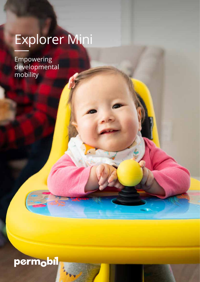# Explorer Mini

Empowering developmental mobility

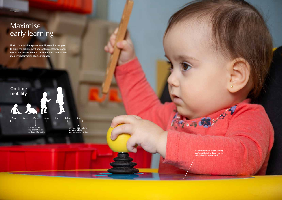**Upper extremity weight bearing surface aids in the development of head and trunk control**

**Private Contractor** 

**The Explorer Mini is a power mobility solution designed to aid in the achievement of developmental milestones by introducing self-initiated movement for children with mobility impairments at an earlier age.**

## Maximise early learning

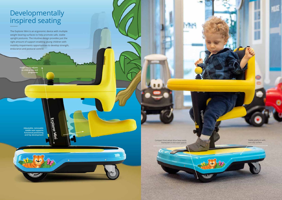**Adjustable, removable saddle seat supports functional positioning and hip development** Explorer Mini

# Developmentally inspired seating

The Explorer Mini is an ergonomic device with multiple weight bearing surfaces to help promote safe, stable upright postures. The intuitive design provides just the right amount of support enabling young children with mobility impairments opportunities to develop strength, endurance and postural control.



**Height easily adjusts as child grows and progresses**

> Compact front wheel drive base easily maneuvers in kid-sized spaces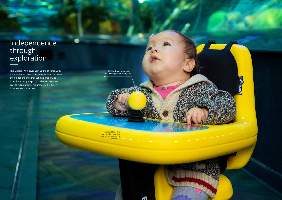### Independence through exploration

The Explorer Mini gives very young children with mobility impairments the opportunity to increase their independence through exploration. Its intentional design, approachable aesthetic and growth adjustability encourages self-initiated independent movement.

> Integrated table and backrest is supportive and allows freedom of movement



**Midline joystick promotes bilateral upper extremity use**

 $G$   $\overline{f}$